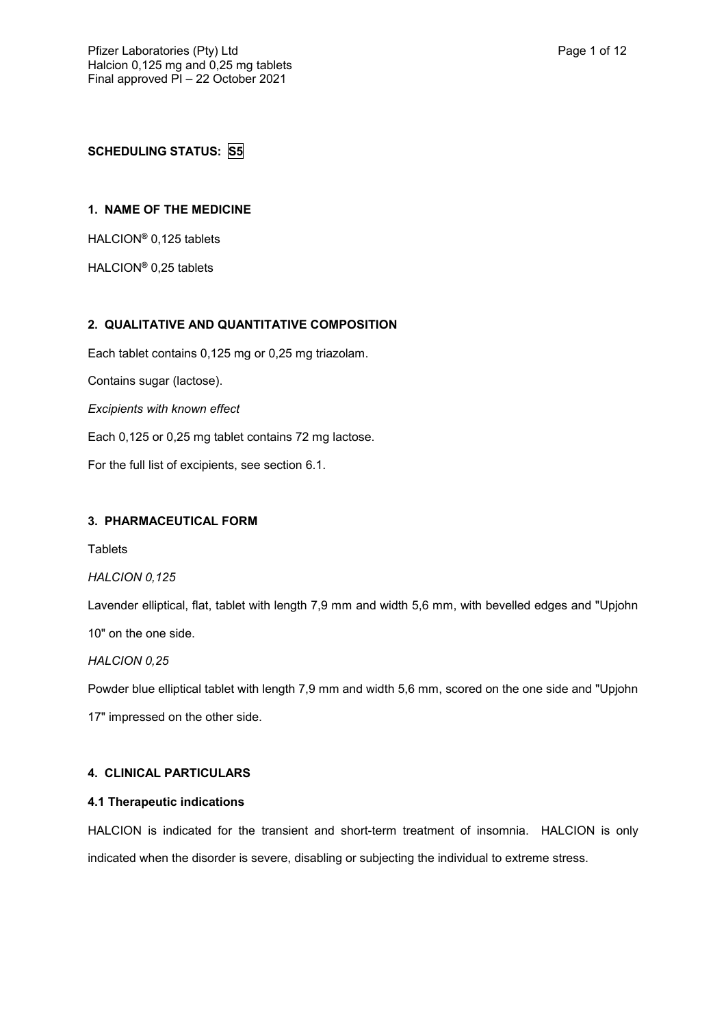**SCHEDULING STATUS: S5**

## **1. NAME OF THE MEDICINE**

HALCION**®** 0,125 tablets

HALCION**®** 0,25 tablets

## **2. QUALITATIVE AND QUANTITATIVE COMPOSITION**

Each tablet contains 0,125 mg or 0,25 mg triazolam. Contains sugar (lactose). *Excipients with known effect* Each 0,125 or 0,25 mg tablet contains 72 mg lactose.

For the full list of excipients, see section 6.1.

## **3. PHARMACEUTICAL FORM**

**Tablets** 

#### *HALCION 0,125*

Lavender elliptical, flat, tablet with length 7,9 mm and width 5,6 mm, with bevelled edges and "Upjohn

10" on the one side.

#### *HALCION 0,25*

Powder blue elliptical tablet with length 7,9 mm and width 5,6 mm, scored on the one side and "Upjohn 17" impressed on the other side.

#### **4. CLINICAL PARTICULARS**

#### **4.1 Therapeutic indications**

HALCION is indicated for the transient and short-term treatment of insomnia. HALCION is only indicated when the disorder is severe, disabling or subjecting the individual to extreme stress.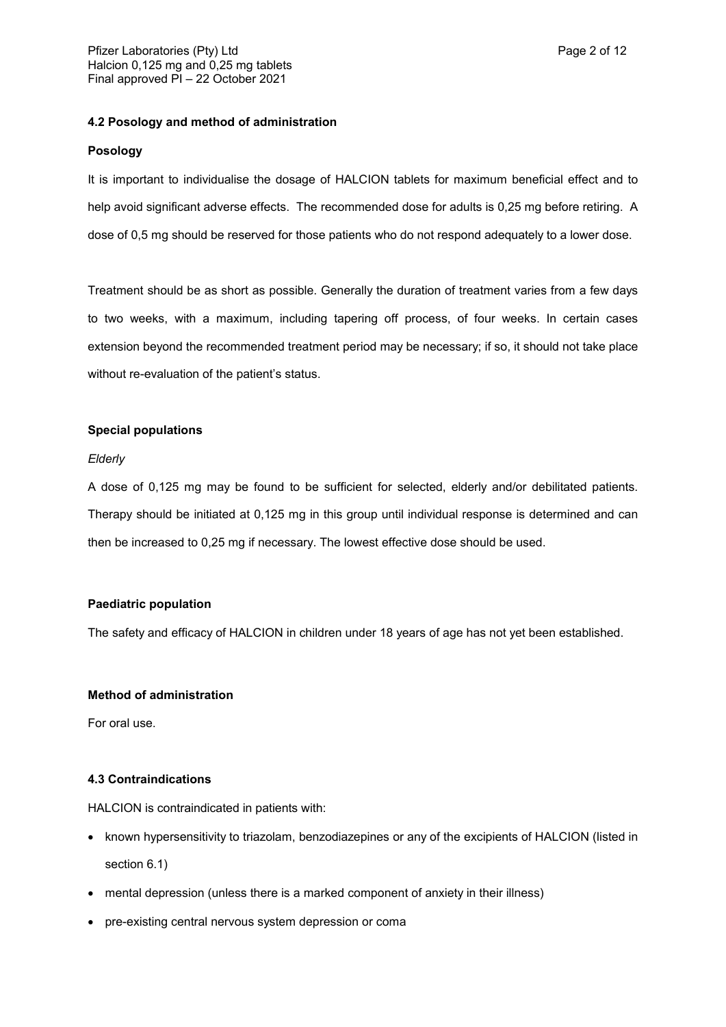#### **4.2 Posology and method of administration**

#### **Posology**

It is important to individualise the dosage of HALCION tablets for maximum beneficial effect and to help avoid significant adverse effects. The recommended dose for adults is 0,25 mg before retiring. A dose of 0,5 mg should be reserved for those patients who do not respond adequately to a lower dose.

Treatment should be as short as possible. Generally the duration of treatment varies from a few days to two weeks, with a maximum, including tapering off process, of four weeks. In certain cases extension beyond the recommended treatment period may be necessary; if so, it should not take place without re-evaluation of the patient's status.

#### **Special populations**

#### *Elderly*

A dose of 0,125 mg may be found to be sufficient for selected, elderly and/or debilitated patients. Therapy should be initiated at 0,125 mg in this group until individual response is determined and can then be increased to 0,25 mg if necessary. The lowest effective dose should be used.

#### **Paediatric population**

The safety and efficacy of HALCION in children under 18 years of age has not yet been established.

#### **Method of administration**

For oral use.

#### **4.3 Contraindications**

HALCION is contraindicated in patients with:

- known hypersensitivity to triazolam, benzodiazepines or any of the excipients of HALCION (listed in section 6.1)
- mental depression (unless there is a marked component of anxiety in their illness)
- pre-existing central nervous system depression or coma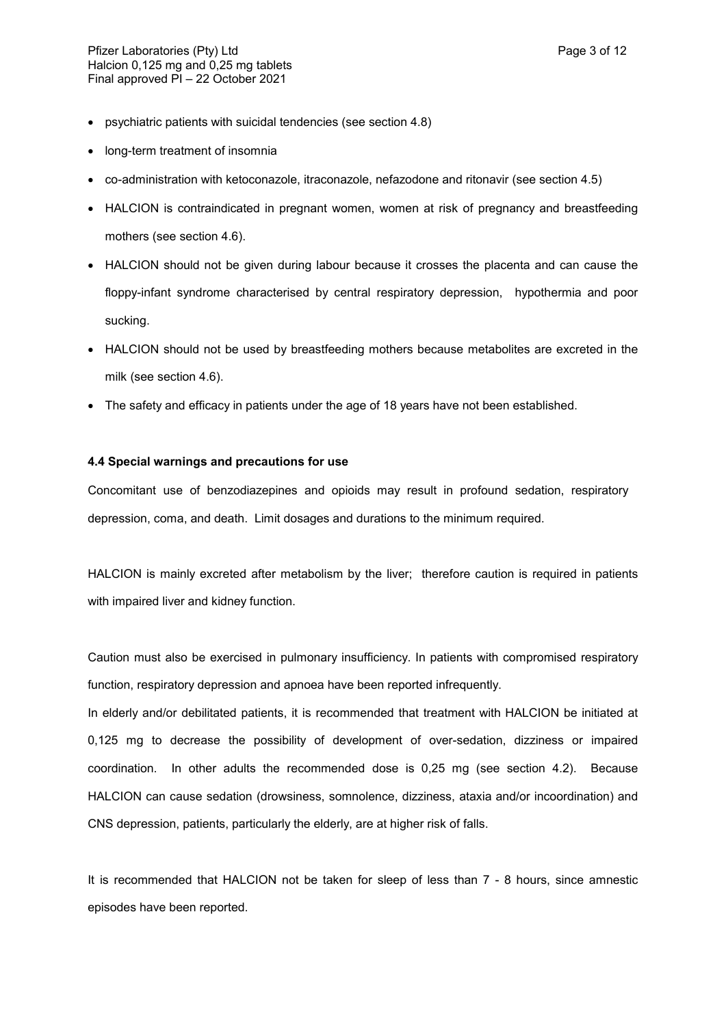- psychiatric patients with suicidal tendencies (see section 4.8)
- long-term treatment of insomnia
- co-administration with ketoconazole, itraconazole, nefazodone and ritonavir (see section 4.5)
- HALCION is contraindicated in pregnant women, women at risk of pregnancy and breastfeeding mothers (see section 4.6).
- HALCION should not be given during labour because it crosses the placenta and can cause the floppy-infant syndrome characterised by central respiratory depression, hypothermia and poor sucking.
- HALCION should not be used by breastfeeding mothers because metabolites are excreted in the milk (see section 4.6).
- The safety and efficacy in patients under the age of 18 years have not been established.

#### **4.4 Special warnings and precautions for use**

Concomitant use of benzodiazepines and opioids may result in profound sedation, respiratory depression, coma, and death. Limit dosages and durations to the minimum required.

HALCION is mainly excreted after metabolism by the liver; therefore caution is required in patients with impaired liver and kidney function.

Caution must also be exercised in pulmonary insufficiency. In patients with compromised respiratory function, respiratory depression and apnoea have been reported infrequently.

In elderly and/or debilitated patients, it is recommended that treatment with HALCION be initiated at 0,125 mg to decrease the possibility of development of over-sedation, dizziness or impaired coordination. In other adults the recommended dose is 0,25 mg (see section 4.2). Because HALCION can cause sedation (drowsiness, somnolence, dizziness, ataxia and/or incoordination) and CNS depression, patients, particularly the elderly, are at higher risk of falls.

It is recommended that HALCION not be taken for sleep of less than 7 - 8 hours, since amnestic episodes have been reported.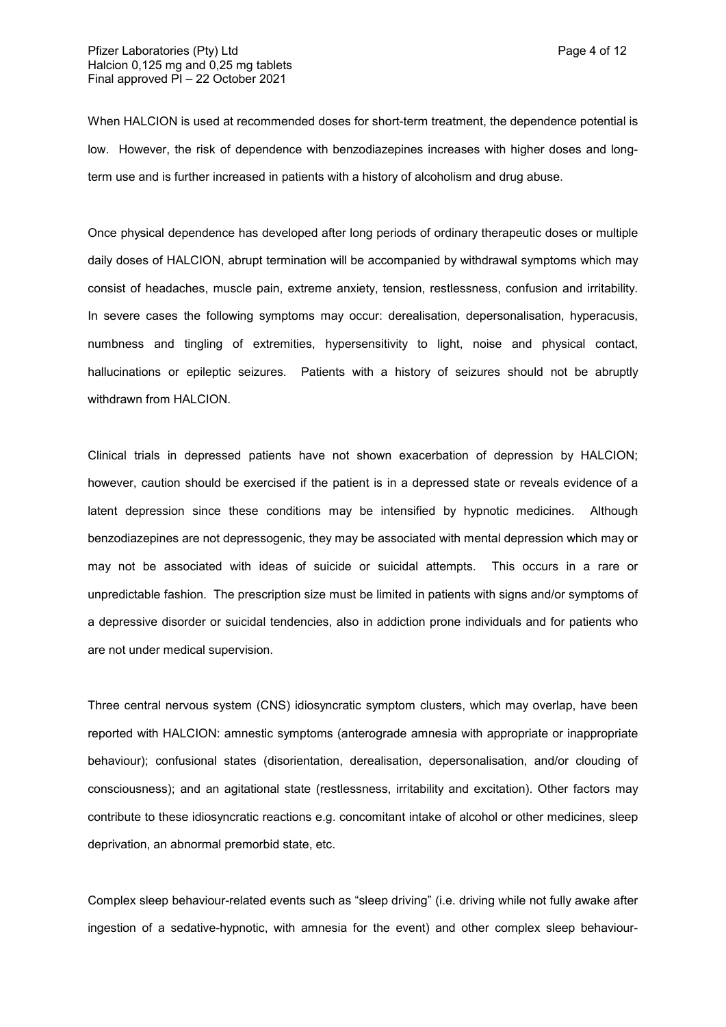When HALCION is used at recommended doses for short-term treatment, the dependence potential is low. However, the risk of dependence with benzodiazepines increases with higher doses and longterm use and is further increased in patients with a history of alcoholism and drug abuse.

Once physical dependence has developed after long periods of ordinary therapeutic doses or multiple daily doses of HALCION, abrupt termination will be accompanied by withdrawal symptoms which may consist of headaches, muscle pain, extreme anxiety, tension, restlessness, confusion and irritability. In severe cases the following symptoms may occur: derealisation, depersonalisation, hyperacusis, numbness and tingling of extremities, hypersensitivity to light, noise and physical contact, hallucinations or epileptic seizures. Patients with a history of seizures should not be abruptly withdrawn from HALCION.

Clinical trials in depressed patients have not shown exacerbation of depression by HALCION; however, caution should be exercised if the patient is in a depressed state or reveals evidence of a latent depression since these conditions may be intensified by hypnotic medicines. Although benzodiazepines are not depressogenic, they may be associated with mental depression which may or may not be associated with ideas of suicide or suicidal attempts. This occurs in a rare or unpredictable fashion. The prescription size must be limited in patients with signs and/or symptoms of a depressive disorder or suicidal tendencies, also in addiction prone individuals and for patients who are not under medical supervision.

Three central nervous system (CNS) idiosyncratic symptom clusters, which may overlap, have been reported with HALCION: amnestic symptoms (anterograde amnesia with appropriate or inappropriate behaviour); confusional states (disorientation, derealisation, depersonalisation, and/or clouding of consciousness); and an agitational state (restlessness, irritability and excitation). Other factors may contribute to these idiosyncratic reactions e.g. concomitant intake of alcohol or other medicines, sleep deprivation, an abnormal premorbid state, etc.

Complex sleep behaviour-related events such as "sleep driving" (i.e. driving while not fully awake after ingestion of a sedative-hypnotic, with amnesia for the event) and other complex sleep behaviour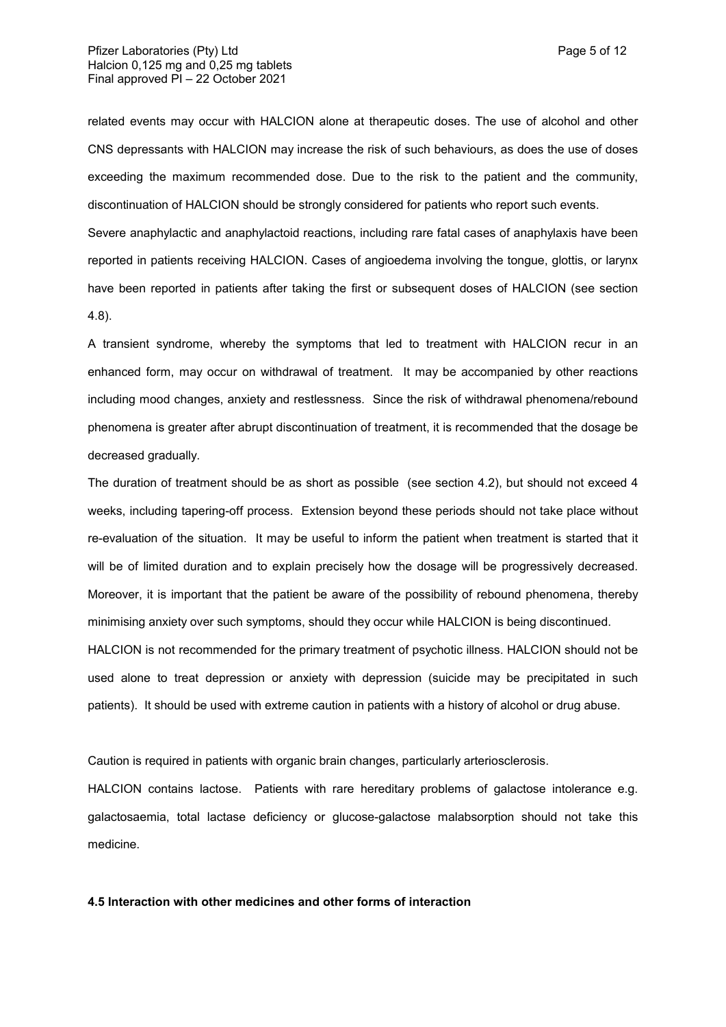related events may occur with HALCION alone at therapeutic doses. The use of alcohol and other CNS depressants with HALCION may increase the risk of such behaviours, as does the use of doses exceeding the maximum recommended dose. Due to the risk to the patient and the community, discontinuation of HALCION should be strongly considered for patients who report such events.

Severe anaphylactic and anaphylactoid reactions, including rare fatal cases of anaphylaxis have been reported in patients receiving HALCION. Cases of angioedema involving the tongue, glottis, or larynx have been reported in patients after taking the first or subsequent doses of HALCION (see section 4.8).

A transient syndrome, whereby the symptoms that led to treatment with HALCION recur in an enhanced form, may occur on withdrawal of treatment. It may be accompanied by other reactions including mood changes, anxiety and restlessness. Since the risk of withdrawal phenomena/rebound phenomena is greater after abrupt discontinuation of treatment, it is recommended that the dosage be decreased gradually.

The duration of treatment should be as short as possible (see section 4.2), but should not exceed 4 weeks, including tapering-off process. Extension beyond these periods should not take place without re-evaluation of the situation. It may be useful to inform the patient when treatment is started that it will be of limited duration and to explain precisely how the dosage will be progressively decreased. Moreover, it is important that the patient be aware of the possibility of rebound phenomena, thereby minimising anxiety over such symptoms, should they occur while HALCION is being discontinued. HALCION is not recommended for the primary treatment of psychotic illness. HALCION should not be used alone to treat depression or anxiety with depression (suicide may be precipitated in such patients). It should be used with extreme caution in patients with a history of alcohol or drug abuse.

Caution is required in patients with organic brain changes, particularly arteriosclerosis.

HALCION contains lactose. Patients with rare hereditary problems of galactose intolerance e.g. galactosaemia, total lactase deficiency or glucose-galactose malabsorption should not take this medicine.

## **4.5 Interaction with other medicines and other forms of interaction**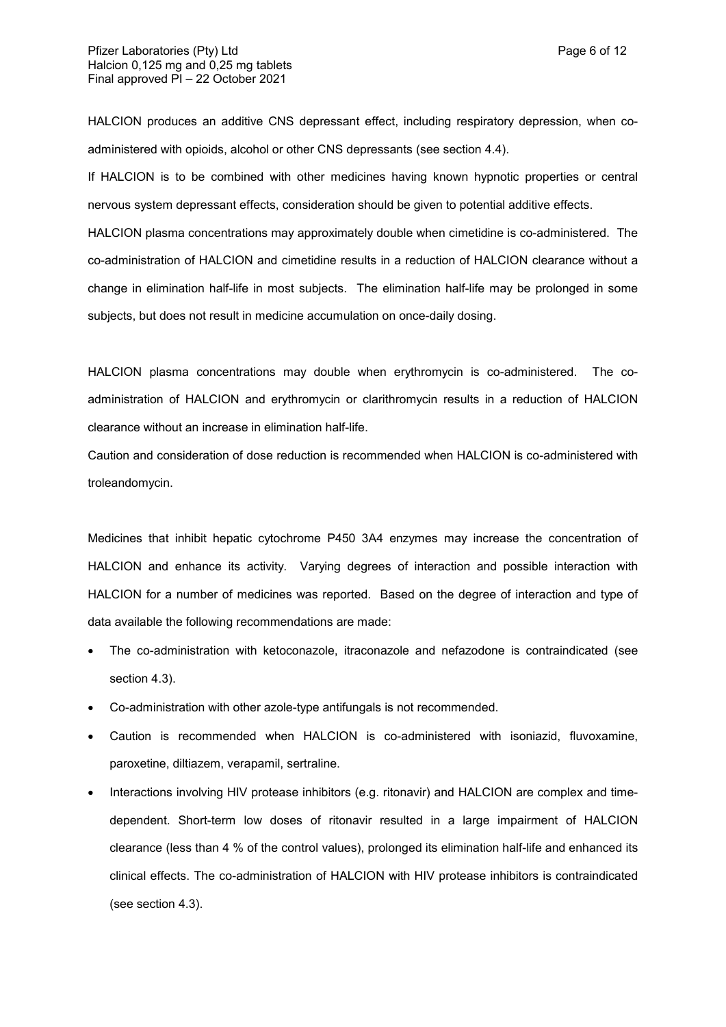HALCION produces an additive CNS depressant effect, including respiratory depression, when coadministered with opioids, alcohol or other CNS depressants (see section 4.4).

If HALCION is to be combined with other medicines having known hypnotic properties or central nervous system depressant effects, consideration should be given to potential additive effects.

HALCION plasma concentrations may approximately double when cimetidine is co-administered. The co-administration of HALCION and cimetidine results in a reduction of HALCION clearance without a change in elimination half-life in most subjects. The elimination half-life may be prolonged in some subjects, but does not result in medicine accumulation on once-daily dosing.

HALCION plasma concentrations may double when erythromycin is co-administered. The coadministration of HALCION and erythromycin or clarithromycin results in a reduction of HALCION clearance without an increase in elimination half-life.

Caution and consideration of dose reduction is recommended when HALCION is co-administered with troleandomycin.

Medicines that inhibit hepatic cytochrome P450 3A4 enzymes may increase the concentration of HALCION and enhance its activity. Varying degrees of interaction and possible interaction with HALCION for a number of medicines was reported. Based on the degree of interaction and type of data available the following recommendations are made:

- The co-administration with ketoconazole, itraconazole and nefazodone is contraindicated (see section 4.3).
- Co-administration with other azole-type antifungals is not recommended.
- Caution is recommended when HALCION is co-administered with isoniazid, fluvoxamine, paroxetine, diltiazem, verapamil, sertraline.
- Interactions involving HIV protease inhibitors (e.g. ritonavir) and HALCION are complex and timedependent. Short-term low doses of ritonavir resulted in a large impairment of HALCION clearance (less than 4 % of the control values), prolonged its elimination half-life and enhanced its clinical effects. The co-administration of HALCION with HIV protease inhibitors is contraindicated (see section 4.3).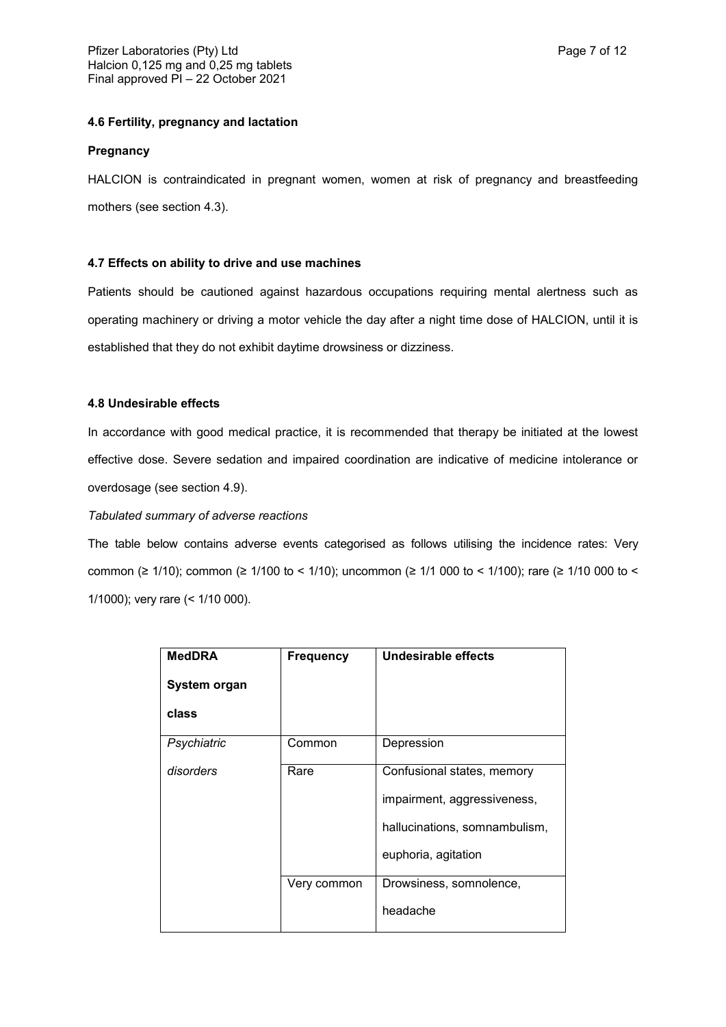## **4.6 Fertility, pregnancy and lactation**

#### **Pregnancy**

HALCION is contraindicated in pregnant women, women at risk of pregnancy and breastfeeding mothers (see section 4.3).

#### **4.7 Effects on ability to drive and use machines**

Patients should be cautioned against hazardous occupations requiring mental alertness such as operating machinery or driving a motor vehicle the day after a night time dose of HALCION, until it is established that they do not exhibit daytime drowsiness or dizziness.

#### **4.8 Undesirable effects**

In accordance with good medical practice, it is recommended that therapy be initiated at the lowest effective dose. Severe sedation and impaired coordination are indicative of medicine intolerance or overdosage (see section 4.9).

#### *Tabulated summary of adverse reactions*

The table below contains adverse events categorised as follows utilising the incidence rates: Very common (≥ 1/10); common (≥ 1/100 to < 1/10); uncommon (≥ 1/1 000 to < 1/100); rare (≥ 1/10 000 to < 1/1000); very rare (< 1/10 000).

| <b>MedDRA</b> | <b>Frequency</b> | Undesirable effects                                                                        |
|---------------|------------------|--------------------------------------------------------------------------------------------|
| System organ  |                  |                                                                                            |
| class         |                  |                                                                                            |
| Psychiatric   | Common           | Depression                                                                                 |
| disorders     | Rare             | Confusional states, memory<br>impairment, aggressiveness,<br>hallucinations, somnambulism, |
|               |                  | euphoria, agitation                                                                        |
|               | Very common      | Drowsiness, somnolence,<br>headache                                                        |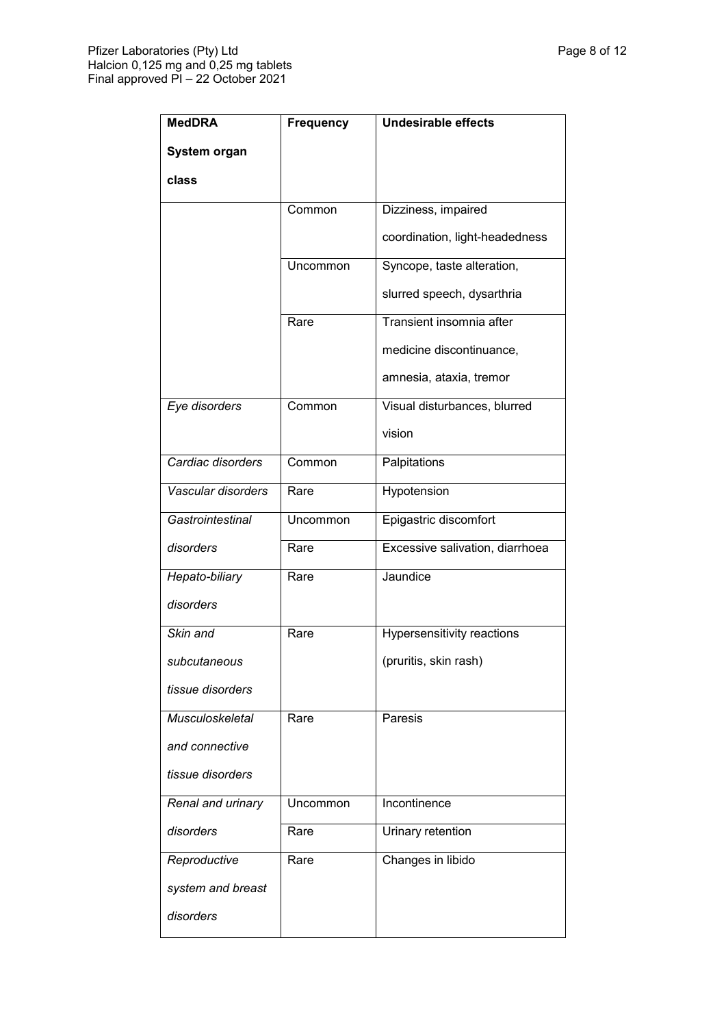| <b>MedDRA</b>          | <b>Frequency</b> | <b>Undesirable effects</b>      |
|------------------------|------------------|---------------------------------|
| System organ           |                  |                                 |
| class                  |                  |                                 |
|                        | Common           | Dizziness, impaired             |
|                        |                  | coordination, light-headedness  |
|                        | Uncommon         | Syncope, taste alteration,      |
|                        |                  | slurred speech, dysarthria      |
|                        | Rare             | Transient insomnia after        |
|                        |                  | medicine discontinuance,        |
|                        |                  | amnesia, ataxia, tremor         |
| Eye disorders          | Common           | Visual disturbances, blurred    |
|                        |                  | vision                          |
| Cardiac disorders      | Common           | Palpitations                    |
| Vascular disorders     | Rare             | Hypotension                     |
| Gastrointestinal       | Uncommon         | Epigastric discomfort           |
| disorders              | Rare             | Excessive salivation, diarrhoea |
| Hepato-biliary         | Rare             | Jaundice                        |
| disorders              |                  |                                 |
| Skin and               | Rare             | Hypersensitivity reactions      |
| subcutaneous           |                  | (pruritis, skin rash)           |
| tissue disorders       |                  |                                 |
| <b>Musculoskeletal</b> | Rare             | Paresis                         |
| and connective         |                  |                                 |
| tissue disorders       |                  |                                 |
| Renal and urinary      | Uncommon         | Incontinence                    |
| disorders              | Rare             | Urinary retention               |
| Reproductive           | Rare             | Changes in libido               |
| system and breast      |                  |                                 |
| disorders              |                  |                                 |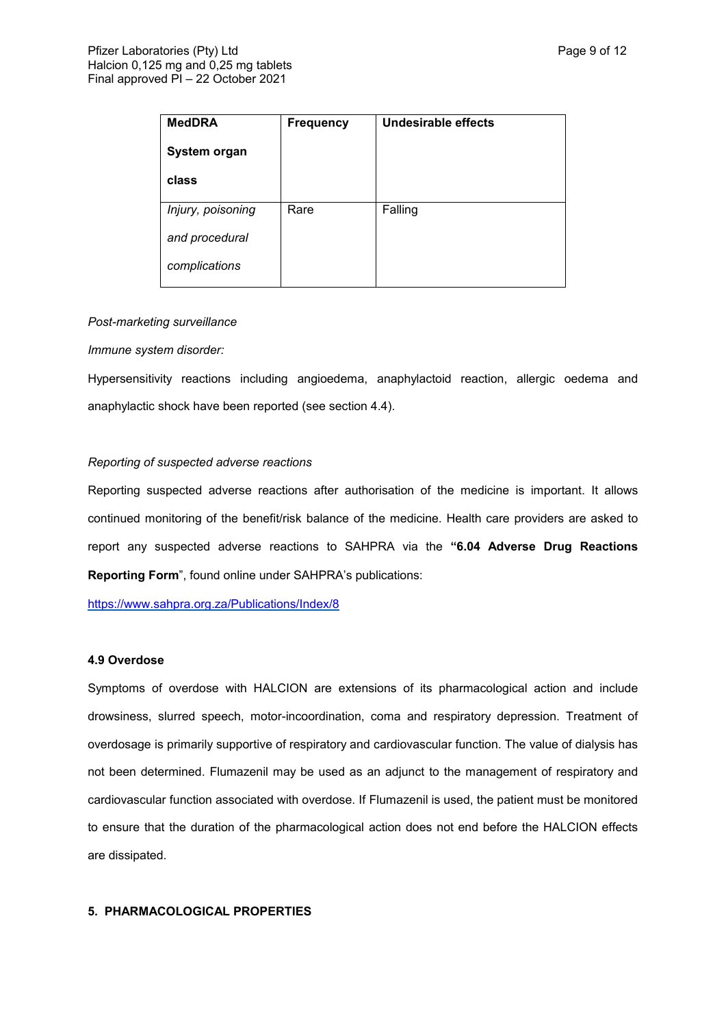| <b>MedDRA</b>     | <b>Frequency</b> | Undesirable effects |
|-------------------|------------------|---------------------|
| System organ      |                  |                     |
| class             |                  |                     |
| Injury, poisoning | Rare             | Falling             |
|                   |                  |                     |
| and procedural    |                  |                     |
| complications     |                  |                     |

#### *Post-marketing surveillance*

#### *Immune system disorder:*

Hypersensitivity reactions including angioedema, anaphylactoid reaction, allergic oedema and anaphylactic shock have been reported (see section 4.4).

#### *Reporting of suspected adverse reactions*

Reporting suspected adverse reactions after authorisation of the medicine is important. It allows continued monitoring of the benefit/risk balance of the medicine. Health care providers are asked to report any suspected adverse reactions to SAHPRA via the **"6.04 Adverse Drug Reactions Reporting Form**", found online under SAHPRA's publications:

<https://www.sahpra.org.za/Publications/Index/8>

#### **4.9 Overdose**

Symptoms of overdose with HALCION are extensions of its pharmacological action and include drowsiness, slurred speech, motor-incoordination, coma and respiratory depression. Treatment of overdosage is primarily supportive of respiratory and cardiovascular function. The value of dialysis has not been determined. Flumazenil may be used as an adjunct to the management of respiratory and cardiovascular function associated with overdose. If Flumazenil is used, the patient must be monitored to ensure that the duration of the pharmacological action does not end before the HALCION effects are dissipated.

#### **5. PHARMACOLOGICAL PROPERTIES**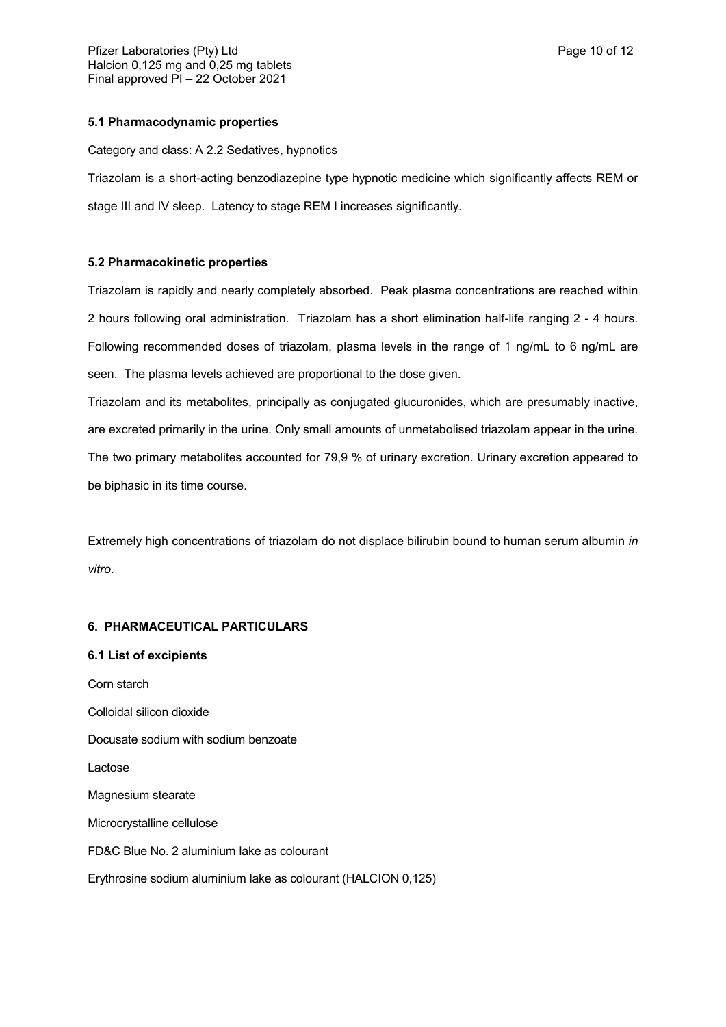#### **5.1 Pharmacodynamic properties**

Category and class: A 2.2 Sedatives, hypnotics

Triazolam is a short-acting benzodiazepine type hypnotic medicine which significantly affects REM or stage III and IV sleep. Latency to stage REM I increases significantly.

#### **5.2 Pharmacokinetic properties**

Triazolam is rapidly and nearly completely absorbed. Peak plasma concentrations are reached within 2 hours following oral administration. Triazolam has a short elimination half-life ranging 2 - 4 hours. Following recommended doses of triazolam, plasma levels in the range of 1 ng/mL to 6 ng/mL are seen. The plasma levels achieved are proportional to the dose given.

Triazolam and its metabolites, principally as conjugated glucuronides, which are presumably inactive, are excreted primarily in the urine. Only small amounts of unmetabolised triazolam appear in the urine. The two primary metabolites accounted for 79,9 % of urinary excretion. Urinary excretion appeared to be biphasic in its time course.

Extremely high concentrations of triazolam do not displace bilirubin bound to human serum albumin *in vitro*.

#### **6. PHARMACEUTICAL PARTICULARS**

#### **6.1 List of excipients**

Corn starch Colloidal silicon dioxide Docusate sodium with sodium benzoate Lactose Magnesium stearate Microcrystalline cellulose FD&C Blue No. 2 aluminium lake as colourant Erythrosine sodium aluminium lake as colourant (HALCION 0,125)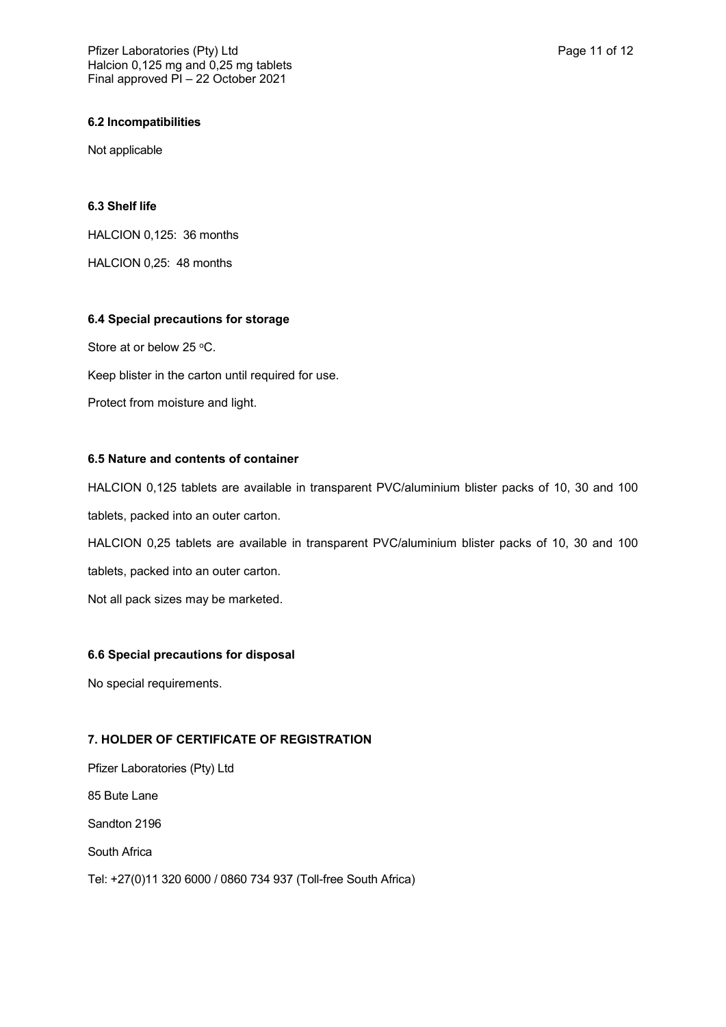#### **6.2 Incompatibilities**

Not applicable

#### **6.3 Shelf life**

HALCION 0,125: 36 months

HALCION 0,25: 48 months

#### **6.4 Special precautions for storage**

Store at or below 25 °C.

Keep blister in the carton until required for use.

Protect from moisture and light.

## **6.5 Nature and contents of container**

HALCION 0,125 tablets are available in transparent PVC/aluminium blister packs of 10, 30 and 100 tablets, packed into an outer carton.

HALCION 0,25 tablets are available in transparent PVC/aluminium blister packs of 10, 30 and 100 tablets, packed into an outer carton.

Not all pack sizes may be marketed.

#### **6.6 Special precautions for disposal**

No special requirements.

## **7. HOLDER OF CERTIFICATE OF REGISTRATION**

Pfizer Laboratories (Pty) Ltd 85 Bute Lane Sandton 2196 South Africa Tel: +27(0)11 320 6000 / 0860 734 937 (Toll-free South Africa)